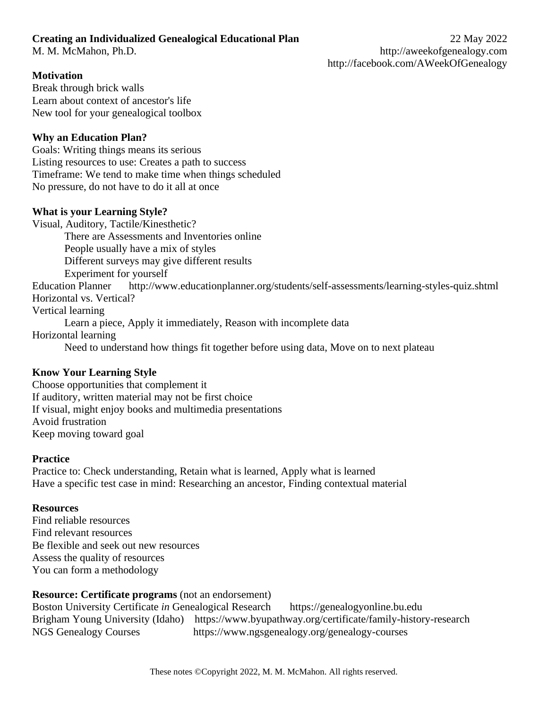# **Creating an Individualized Genealogical Educational Plan** 22 May 2022

# **Motivation**

Break through brick walls Learn about context of ancestor's life New tool for your genealogical toolbox

# **Why an Education Plan?**

Goals: Writing things means its serious Listing resources to use: Creates a path to success Timeframe: We tend to make time when things scheduled No pressure, do not have to do it all at once

# **What is your Learning Style?**

Visual, Auditory, Tactile/Kinesthetic? There are Assessments and Inventories online People usually have a mix of styles Different surveys may give different results Experiment for yourself Education Planner http://www.educationplanner.org/students/self-assessments/learning-styles-quiz.shtml Horizontal vs. Vertical? Vertical learning Learn a piece, Apply it immediately, Reason with incomplete data Horizontal learning Need to understand how things fit together before using data, Move on to next plateau

# **Know Your Learning Style**

Choose opportunities that complement it If auditory, written material may not be first choice If visual, might enjoy books and multimedia presentations Avoid frustration Keep moving toward goal

# **Practice**

Practice to: Check understanding, Retain what is learned, Apply what is learned Have a specific test case in mind: Researching an ancestor, Finding contextual material

# **Resources**

Find reliable resources Find relevant resources Be flexible and seek out new resources Assess the quality of resources You can form a methodology

# **Resource: Certificate programs** (not an endorsement)

Boston University Certificate *in* Genealogical Research https://genealogyonline.bu.edu Brigham Young University (Idaho) https://www.byupathway.org/certificate/family-history-research NGS Genealogy Courses https://www.ngsgenealogy.org/genealogy-courses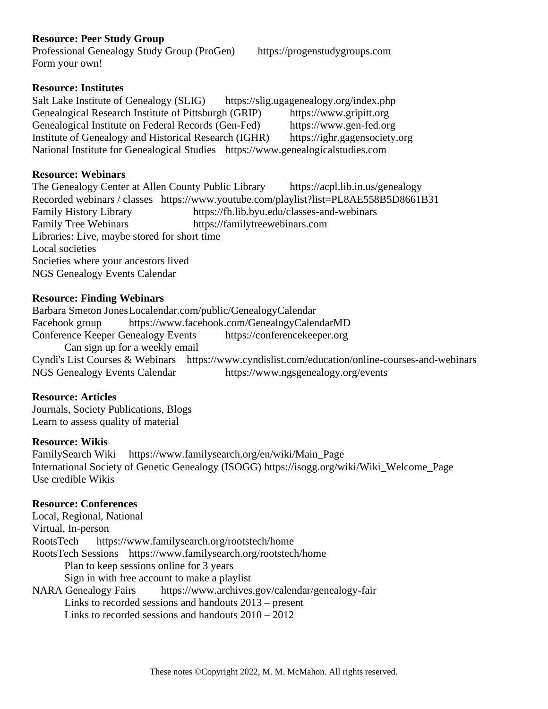## **Resource: Peer Study Group**

Professional Genealogy Study Group (ProGen) https://progenstudygroups.com Form your own!

#### **Resource: Institutes**

Salt Lake Institute of Genealogy (SLIG) https://slig.ugagenealogy.org/index.php [Genealogical Research Institute of Pittsburgh](https://www.gripitt.org/) (GRIP) [https://www.gripitt.org](https://www.gripitt.org/) Genealogical Institute on Federal Records (Gen-Fed) https://www.gen-fed.org Institute of Genealogy and Historical Research (IGHR) https://ighr.gagensociety.org National Institute for Genealogical Studies https://www.genealogicalstudies.com

#### **Resource: Webinars**

The Genealogy Center at Allen County Public Library https://acpl.lib.in.us/genealogy Recorded webinars / classes https://www.youtube.com/playlist?list=PL8AE558B5D8661B31 Family History Library https://fh.lib.byu.edu/classes-and-webinars Family Tree Webinars https://familytreewebinars.com Libraries: Live, maybe stored for short time Local societies Societies where your ancestors lived NGS Genealogy Events Calendar

## **Resource: Finding Webinars**

Barbara Smeton JonesLocalendar.com/public/GenealogyCalendar Facebook group <https://www.facebook.com/GenealogyCalendarMD> Conference Keeper Genealogy Events https://conferencekeeper.org Can sign up for a weekly email Cyndi's List Courses & Webinars https://www.cyndislist.com/education/online-courses-and-webinars NGS Genealogy Events Calendar https://www.ngsgenealogy.org/events

## **Resource: Articles**

Journals, Society Publications, Blogs Learn to assess quality of material

## **Resource: Wikis**

FamilySearch Wiki https://www.familysearch.org/en/wiki/Main\_Page International Society of Genetic Genealogy (ISOGG) https://isogg.org/wiki/Wiki\_Welcome\_Page Use credible Wikis

## **Resource: Conferences**

Local, Regional, National Virtual, In-person RootsTech https://www.familysearch.org/rootstech/home RootsTech Sessions https://www.familysearch.org/rootstech/home Plan to keep sessions online for 3 years Sign in with free account to make a playlist NARA Genealogy Fairs https://www.archives.gov/calendar/genealogy-fair Links to recorded sessions and handouts 2013 – present Links to recorded sessions and handouts 2010 – 2012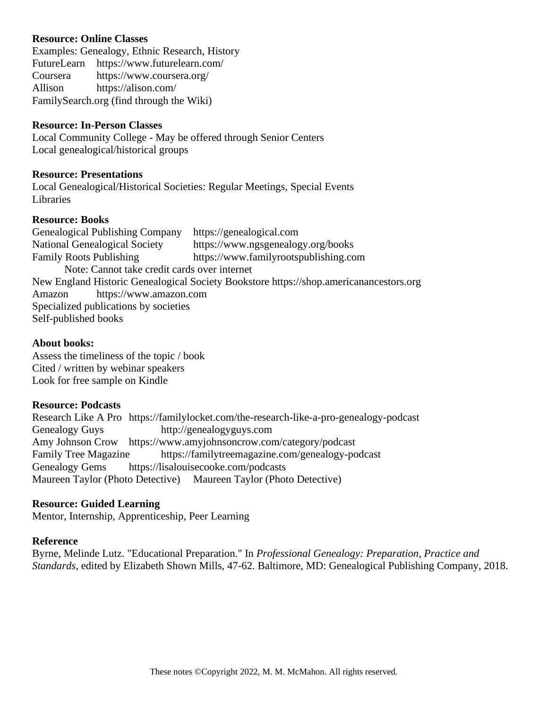## **Resource: Online Classes**

Examples: Genealogy, Ethnic Research, History FutureLearn https://www.futurelearn.com/ Coursera https://www.coursera.org/ Allison https://alison.com/ FamilySearch.org (find through the Wiki)

#### **Resource: In-Person Classes**

Local Community College - May be offered through Senior Centers Local genealogical/historical groups

#### **Resource: Presentations**

Local Genealogical/Historical Societies: Regular Meetings, Special Events **Libraries** 

#### **Resource: Books**

Genealogical Publishing Company https://genealogical.com National Genealogical Society https://www.ngsgenealogy.org/books Family Roots Publishing https://www.familyrootspublishing.com Note: Cannot take credit cards over internet New England Historic Genealogical Society Bookstore https://shop.americanancestors.org Amazon https://www.amazon.com Specialized publications by societies Self-published books

#### **About books:**

Assess the timeliness of the topic / book Cited / written by webinar speakers Look for free sample on Kindle

#### **Resource: Podcasts**

Research Like A Pro https://familylocket.com/the-research-like-a-pro-genealogy-podcast Genealogy Guys http://genealogyguys.com Amy Johnson Crow https://www.amyjohnsoncrow.com/category/podcast Family Tree Magazine https://familytreemagazine.com/genealogy-podcast Genealogy Gems https://lisalouisecooke.com/podcasts Maureen Taylor (Photo Detective) Maureen Taylor (Photo Detective)

## **Resource: Guided Learning**

Mentor, Internship, Apprenticeship, Peer Learning

#### **Reference**

Byrne, Melinde Lutz. "Educational Preparation." In *Professional Genealogy: Preparation, Practice and Standards*, edited by Elizabeth Shown Mills, 47-62. Baltimore, MD: Genealogical Publishing Company, 2018.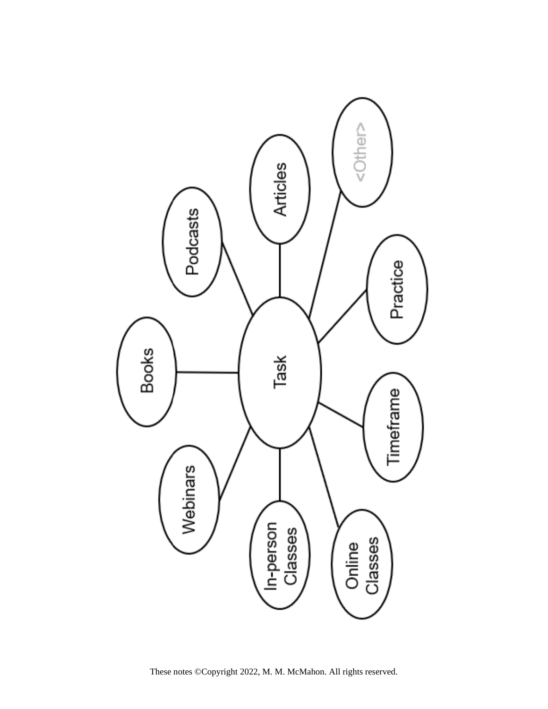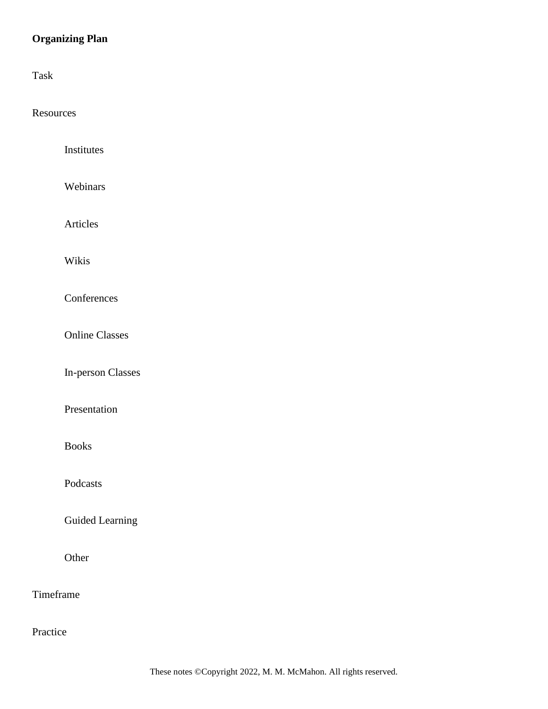# **Organizing Plan**

Task

**Resources** 

| Institutes               |  |
|--------------------------|--|
| Webinars                 |  |
| Articles                 |  |
| Wikis                    |  |
| Conferences              |  |
| <b>Online Classes</b>    |  |
| <b>In-person Classes</b> |  |
| Presentation             |  |
| <b>Books</b>             |  |
| Podcasts                 |  |
| <b>Guided Learning</b>   |  |
| Other                    |  |
| Timeframe                |  |

Practice